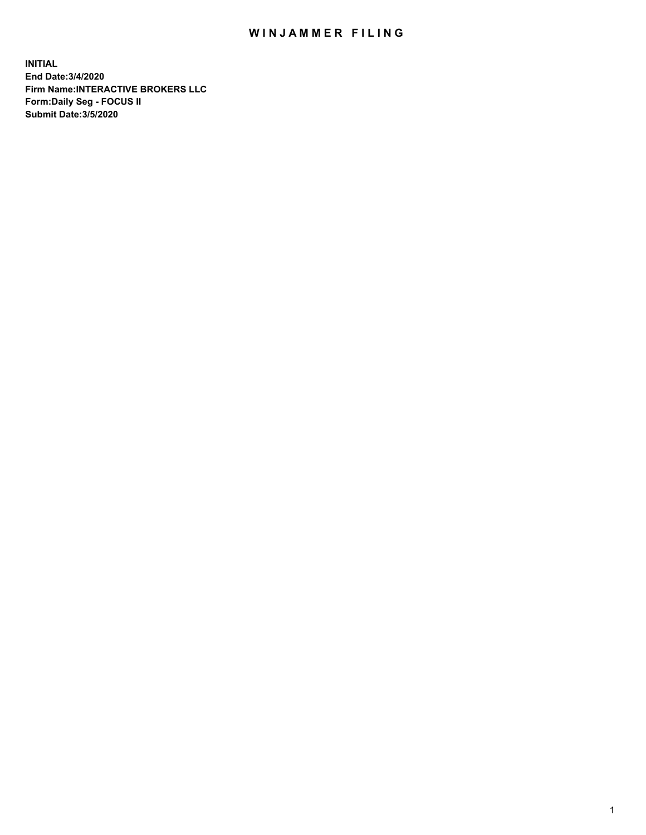## WIN JAMMER FILING

**INITIAL End Date:3/4/2020 Firm Name:INTERACTIVE BROKERS LLC Form:Daily Seg - FOCUS II Submit Date:3/5/2020**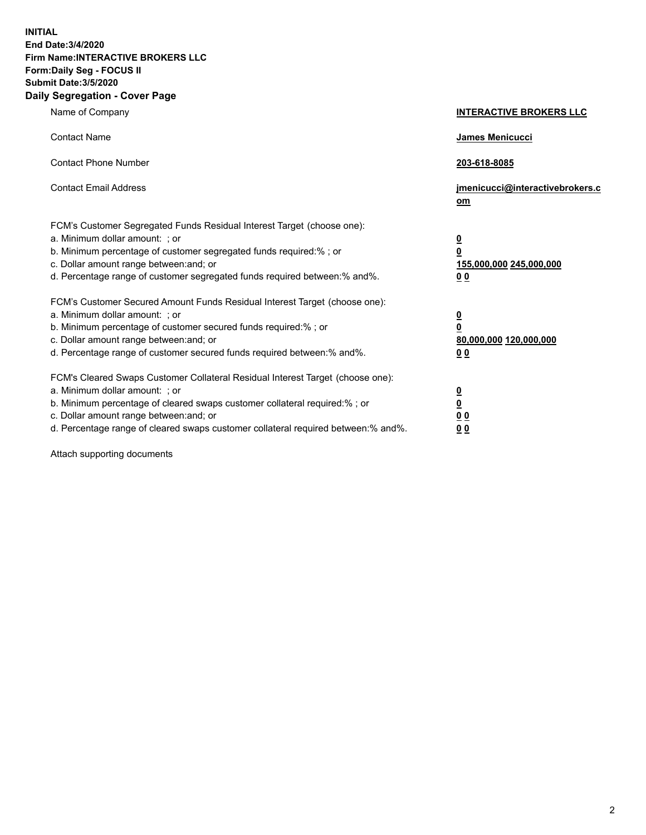**INITIAL End Date:3/4/2020 Firm Name:INTERACTIVE BROKERS LLC Form:Daily Seg - FOCUS II Submit Date:3/5/2020 Daily Segregation - Cover Page**

| Name of Company                                                                                                                                                                                                                                                                                                                | <b>INTERACTIVE BROKERS LLC</b>                                                                  |
|--------------------------------------------------------------------------------------------------------------------------------------------------------------------------------------------------------------------------------------------------------------------------------------------------------------------------------|-------------------------------------------------------------------------------------------------|
| <b>Contact Name</b>                                                                                                                                                                                                                                                                                                            | James Menicucci                                                                                 |
| <b>Contact Phone Number</b>                                                                                                                                                                                                                                                                                                    | 203-618-8085                                                                                    |
| <b>Contact Email Address</b>                                                                                                                                                                                                                                                                                                   | jmenicucci@interactivebrokers.c<br>om                                                           |
| FCM's Customer Segregated Funds Residual Interest Target (choose one):<br>a. Minimum dollar amount: : or<br>b. Minimum percentage of customer segregated funds required:% ; or<br>c. Dollar amount range between: and; or<br>d. Percentage range of customer segregated funds required between:% and%.                         | $\overline{\mathbf{0}}$<br>$\overline{\mathbf{0}}$<br>155,000,000 245,000,000<br>0 <sub>0</sub> |
| FCM's Customer Secured Amount Funds Residual Interest Target (choose one):<br>a. Minimum dollar amount: ; or<br>b. Minimum percentage of customer secured funds required:% ; or<br>c. Dollar amount range between: and; or<br>d. Percentage range of customer secured funds required between:% and%.                           | $\frac{0}{0}$<br>80,000,000 120,000,000<br>00                                                   |
| FCM's Cleared Swaps Customer Collateral Residual Interest Target (choose one):<br>a. Minimum dollar amount: ; or<br>b. Minimum percentage of cleared swaps customer collateral required:% ; or<br>c. Dollar amount range between: and; or<br>d. Percentage range of cleared swaps customer collateral required between:% and%. | $\overline{\mathbf{0}}$<br>$\underline{\mathbf{0}}$<br>0 <sub>0</sub><br>0 <sub>0</sub>         |

Attach supporting documents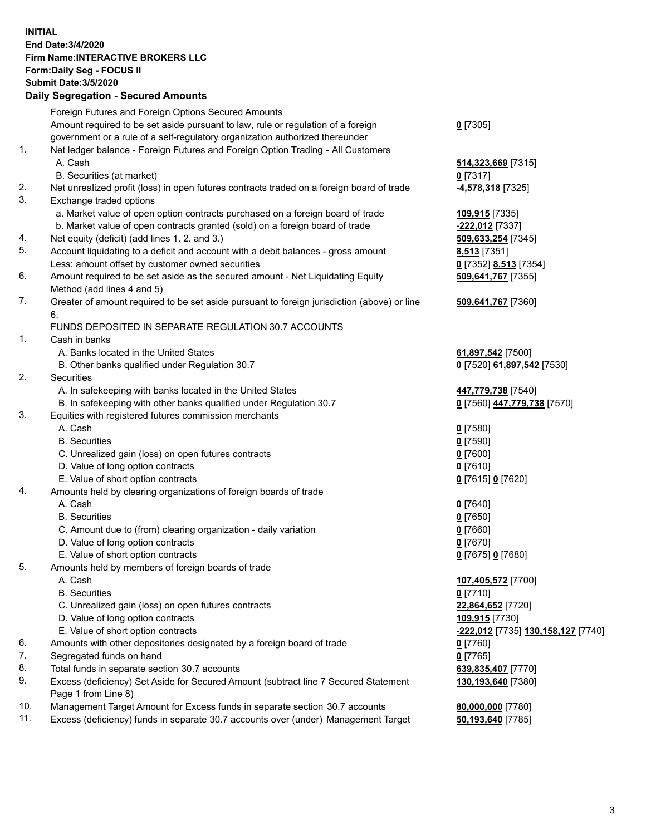**INITIAL End Date:3/4/2020 Firm Name:INTERACTIVE BROKERS LLC Form:Daily Seg - FOCUS II Submit Date:3/5/2020 Daily Segregation - Secured Amounts**

|     | Foreign Futures and Foreign Options Secured Amounts                                         |                                                 |
|-----|---------------------------------------------------------------------------------------------|-------------------------------------------------|
|     | Amount required to be set aside pursuant to law, rule or regulation of a foreign            | $0$ [7305]                                      |
|     | government or a rule of a self-regulatory organization authorized thereunder                |                                                 |
| 1.  | Net ledger balance - Foreign Futures and Foreign Option Trading - All Customers             |                                                 |
|     | A. Cash                                                                                     | 514,323,669 [7315]                              |
|     | B. Securities (at market)                                                                   | $0$ [7317]                                      |
| 2.  | Net unrealized profit (loss) in open futures contracts traded on a foreign board of trade   | 4,578,318 [7325]                                |
| 3.  | Exchange traded options                                                                     |                                                 |
|     | a. Market value of open option contracts purchased on a foreign board of trade              | 109,915 [7335]                                  |
|     | b. Market value of open contracts granted (sold) on a foreign board of trade                | -222,012 [7337]                                 |
| 4.  | Net equity (deficit) (add lines 1. 2. and 3.)                                               | 509,633,254 [7345]                              |
| 5.  | Account liquidating to a deficit and account with a debit balances - gross amount           | <b>8,513</b> [7351]                             |
|     | Less: amount offset by customer owned securities                                            | 0 [7352] 8,513 [7354]                           |
| 6.  | Amount required to be set aside as the secured amount - Net Liquidating Equity              | 509,641,767 [7355]                              |
|     | Method (add lines 4 and 5)                                                                  |                                                 |
| 7.  | Greater of amount required to be set aside pursuant to foreign jurisdiction (above) or line | 509,641,767 [7360]                              |
|     | 6.                                                                                          |                                                 |
|     | FUNDS DEPOSITED IN SEPARATE REGULATION 30.7 ACCOUNTS                                        |                                                 |
| 1.  | Cash in banks                                                                               |                                                 |
|     | A. Banks located in the United States                                                       | 61,897,542 [7500]                               |
|     | B. Other banks qualified under Regulation 30.7                                              | 0 [7520] 61,897,542 [7530]                      |
| 2.  | Securities                                                                                  |                                                 |
|     | A. In safekeeping with banks located in the United States                                   | 447,779,738 [7540]                              |
|     | B. In safekeeping with other banks qualified under Regulation 30.7                          | 0 [7560] 447,779,738 [7570]                     |
| 3.  | Equities with registered futures commission merchants                                       |                                                 |
|     | A. Cash                                                                                     | $0$ [7580]                                      |
|     | <b>B.</b> Securities                                                                        | $0$ [7590]                                      |
|     | C. Unrealized gain (loss) on open futures contracts                                         | $0$ [7600]                                      |
|     | D. Value of long option contracts                                                           | $0$ [7610]                                      |
|     | E. Value of short option contracts                                                          | 0 [7615] 0 [7620]                               |
| 4.  | Amounts held by clearing organizations of foreign boards of trade                           |                                                 |
|     | A. Cash                                                                                     | $0$ [7640]                                      |
|     | <b>B.</b> Securities                                                                        | $0$ [7650]                                      |
|     | C. Amount due to (from) clearing organization - daily variation                             | $0$ [7660]                                      |
|     | D. Value of long option contracts                                                           | $0$ [7670]                                      |
|     | E. Value of short option contracts                                                          | 0 [7675] 0 [7680]                               |
| 5.  | Amounts held by members of foreign boards of trade                                          |                                                 |
|     | A. Cash                                                                                     | 107,405,572 [7700]                              |
|     | <b>B.</b> Securities                                                                        | $0$ [7710]                                      |
|     | C. Unrealized gain (loss) on open futures contracts                                         | 22,864,652 [7720]                               |
|     | D. Value of long option contracts                                                           | 109,915 [7730]                                  |
|     | E. Value of short option contracts                                                          | <mark>-222,012</mark> [7735] 130,158,127 [7740] |
| 6.  | Amounts with other depositories designated by a foreign board of trade                      | $0$ [7760]                                      |
| 7.  | Segregated funds on hand                                                                    | $0$ [7765]                                      |
| 8.  | Total funds in separate section 30.7 accounts                                               | 639,835,407 [7770]                              |
| 9.  | Excess (deficiency) Set Aside for Secured Amount (subtract line 7 Secured Statement         | 130,193,640 [7380]                              |
|     | Page 1 from Line 8)                                                                         |                                                 |
| 10. | Management Target Amount for Excess funds in separate section 30.7 accounts                 | 80,000,000 [7780]                               |
| 11. | Excess (deficiency) funds in separate 30.7 accounts over (under) Management Target          | 50,193,640 [7785]                               |
|     |                                                                                             |                                                 |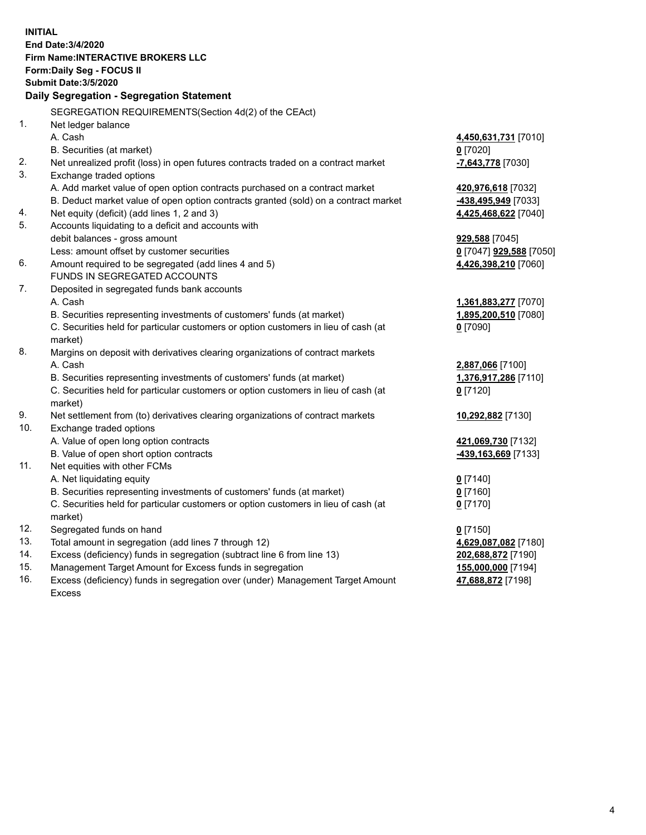**INITIAL End Date:3/4/2020 Firm Name:INTERACTIVE BROKERS LLC Form:Daily Seg - FOCUS II Submit Date:3/5/2020 Daily Segregation - Segregation Statement** SEGREGATION REQUIREMENTS(Section 4d(2) of the CEAct) 1. Net ledger balance A. Cash **4,450,631,731** [7010] B. Securities (at market) **0** [7020] 2. Net unrealized profit (loss) in open futures contracts traded on a contract market **-7,643,778** [7030] 3. Exchange traded options A. Add market value of open option contracts purchased on a contract market **420,976,618** [7032] B. Deduct market value of open option contracts granted (sold) on a contract market **-438,495,949** [7033] 4. Net equity (deficit) (add lines 1, 2 and 3) **4,425,468,622** [7040] 5. Accounts liquidating to a deficit and accounts with debit balances - gross amount **929,588** [7045] Less: amount offset by customer securities **0** [7047] **929,588** [7050] 6. Amount required to be segregated (add lines 4 and 5) **4,426,398,210** [7060] FUNDS IN SEGREGATED ACCOUNTS 7. Deposited in segregated funds bank accounts A. Cash **1,361,883,277** [7070] B. Securities representing investments of customers' funds (at market) **1,895,200,510** [7080] C. Securities held for particular customers or option customers in lieu of cash (at market) **0** [7090] 8. Margins on deposit with derivatives clearing organizations of contract markets A. Cash **2,887,066** [7100] B. Securities representing investments of customers' funds (at market) **1,376,917,286** [7110] C. Securities held for particular customers or option customers in lieu of cash (at market) **0** [7120] 9. Net settlement from (to) derivatives clearing organizations of contract markets **10,292,882** [7130] 10. Exchange traded options A. Value of open long option contracts **421,069,730** [7132] B. Value of open short option contracts **-439,163,669** [7133] 11. Net equities with other FCMs A. Net liquidating equity **0** [7140] B. Securities representing investments of customers' funds (at market) **0** [7160] C. Securities held for particular customers or option customers in lieu of cash (at market) **0** [7170] 12. Segregated funds on hand **0** [7150] 13. Total amount in segregation (add lines 7 through 12) **4,629,087,082** [7180] 14. Excess (deficiency) funds in segregation (subtract line 6 from line 13) **202,688,872** [7190] 15. Management Target Amount for Excess funds in segregation **155,000,000** [7194] 16. Excess (deficiency) funds in segregation over (under) Management Target Amount **47,688,872** [7198]

Excess